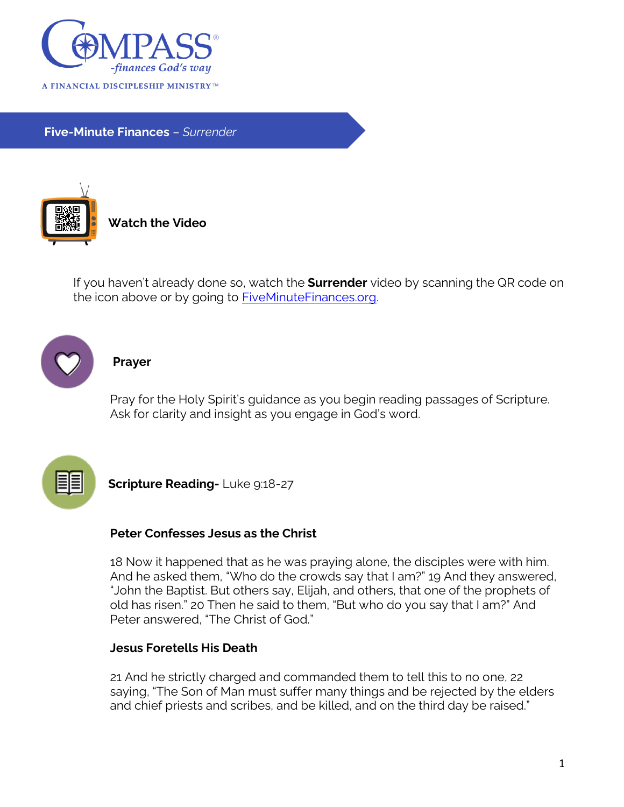

**Five-Minute Finances** – *Surrender*



**Watch the Video**

If you haven't already done so, watch the **Surrender** video by scanning the QR code on the icon above or by going to [FiveMinuteFinances.org.](http://www.fiveminutefinances.org/)



#### **Prayer**

Pray for the Holy Spirit's guidance as you begin reading passages of Scripture. Ask for clarity and insight as you engage in God's word.



**Scripture Reading-Luke 9:18-27** 

## **Peter Confesses Jesus as the Christ**

18 Now it happened that as he was praying alone, the disciples were with him. And he asked them, "Who do the crowds say that I am?" 19 And they answered, "John the Baptist. But others say, Elijah, and others, that one of the prophets of old has risen." 20 Then he said to them, "But who do you say that I am?" And Peter answered, "The Christ of God."

### **Jesus Foretells His Death**

21 And he strictly charged and commanded them to tell this to no one, 22 saying, "The Son of Man must suffer many things and be rejected by the elders and chief priests and scribes, and be killed, and on the third day be raised."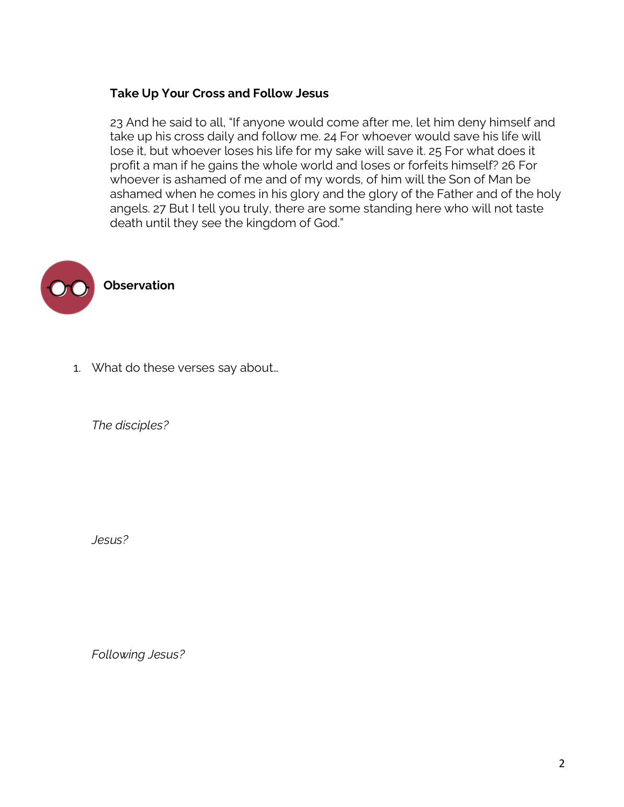## **Take Up Your Cross and Follow Jesus**

23 And he said to all, "If anyone would come after me, let him deny himself and take up his cross daily and follow me. 24 For whoever would save his life will lose it, but whoever loses his life for my sake will save it. 25 For what does it profit a man if he gains the whole world and loses or forfeits himself? 26 For whoever is ashamed of me and of my words, of him will the Son of Man be ashamed when he comes in his glory and the glory of the Father and of the holy angels. 27 But I tell you truly, there are some standing here who will not taste death until they see the kingdom of God."



1. What do these verses say about…

*The disciples?*

*Jesus?*

*Following Jesus?*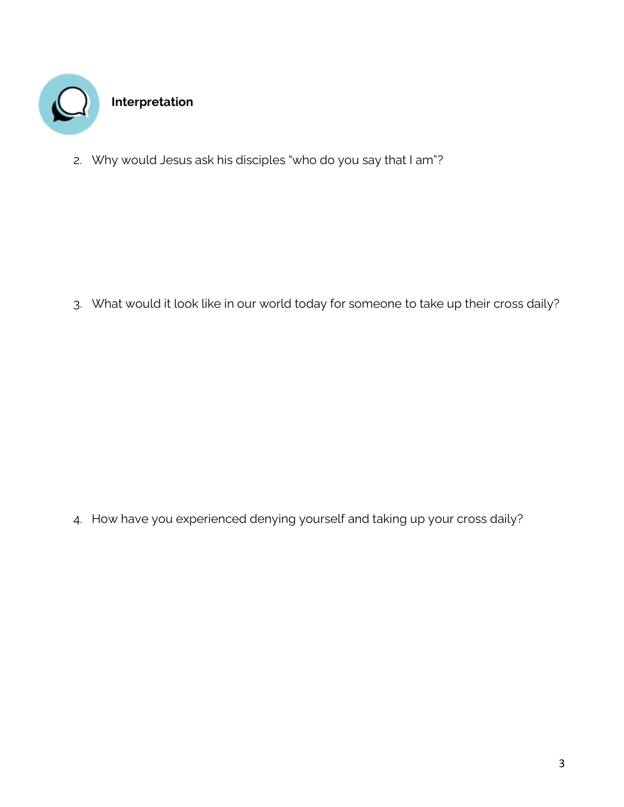

2. Why would Jesus ask his disciples "who do you say that I am"?

3. What would it look like in our world today for someone to take up their cross daily?

4. How have you experienced denying yourself and taking up your cross daily?